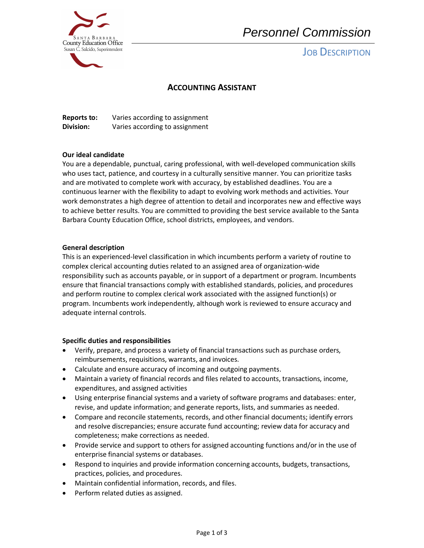

# *Personnel Commission*

## **JOB DESCRIPTION**

### **ACCOUNTING ASSISTANT**

**Reports to:** Varies according to assignment **Division:** Varies according to assignment

#### **Our ideal candidate**

You are a dependable, punctual, caring professional, with well-developed communication skills who uses tact, patience, and courtesy in a culturally sensitive manner. You can prioritize tasks and are motivated to complete work with accuracy, by established deadlines. You are a continuous learner with the flexibility to adapt to evolving work methods and activities. Your work demonstrates a high degree of attention to detail and incorporates new and effective ways to achieve better results. You are committed to providing the best service available to the Santa Barbara County Education Office, school districts, employees, and vendors.

#### **General description**

 This is an experienced-level classification in which incumbents perform a variety of routine to complex clerical accounting duties related to an assigned area of organization-wide responsibility such as accounts payable, or in support of a department or program. Incumbents ensure that financial transactions comply with established standards, policies, and procedures and perform routine to complex clerical work associated with the assigned function(s) or program. Incumbents work independently, although work is reviewed to ensure accuracy and adequate internal controls.

#### **Specific duties and responsibilities**

- Verify, prepare, and process a variety of financial transactions such as purchase orders, reimbursements, requisitions, warrants, and invoices.
- Calculate and ensure accuracy of incoming and outgoing payments.
- Maintain a variety of financial records and files related to accounts, transactions, income, expenditures, and assigned activities
- Using enterprise financial systems and a variety of software programs and databases: enter, revise, and update information; and generate reports, lists, and summaries as needed.
- Compare and reconcile statements, records, and other financial documents; identify errors and resolve discrepancies; ensure accurate fund accounting; review data for accuracy and completeness; make corrections as needed.
- Provide service and support to others for assigned accounting functions and/or in the use of enterprise financial systems or databases.
- Respond to inquiries and provide information concerning accounts, budgets, transactions, practices, policies, and procedures.
- Maintain confidential information, records, and files.
- Perform related duties as assigned.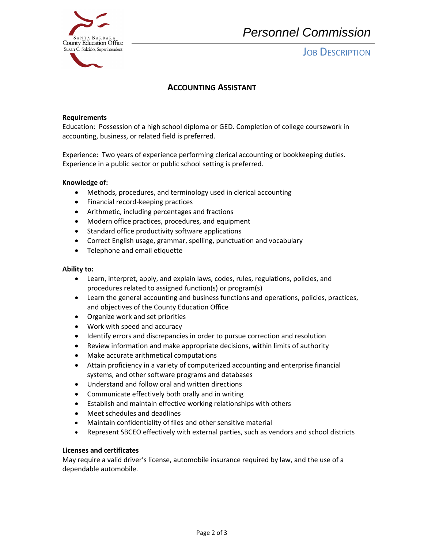

## *Personnel Commission*

**JOB DESCRIPTION** 

### **ACCOUNTING ASSISTANT**

#### **Requirements**

Education: Possession of a high school diploma or GED. Completion of college coursework in accounting, business, or related field is preferred.

 Experience: Two years of experience performing clerical accounting or bookkeeping duties. Experience in a public sector or public school setting is preferred.

#### **Knowledge of:**

- Methods, procedures, and terminology used in clerical accounting
- Financial record-keeping practices
- Arithmetic, including percentages and fractions
- Modern office practices, procedures, and equipment
- Standard office productivity software applications
- Correct English usage, grammar, spelling, punctuation and vocabulary
- Telephone and email etiquette

#### **Ability to:**

- Learn, interpret, apply, and explain laws, codes, rules, regulations, policies, and procedures related to assigned function(s) or program(s)
- Learn the general accounting and business functions and operations, policies, practices, and objectives of the County Education Office
- Organize work and set priorities
- Work with speed and accuracy
- Identify errors and discrepancies in order to pursue correction and resolution
- Review information and make appropriate decisions, within limits of authority
- Make accurate arithmetical computations
- Attain proficiency in a variety of computerized accounting and enterprise financial systems, and other software programs and databases
- Understand and follow oral and written directions
- Communicate effectively both orally and in writing
- Establish and maintain effective working relationships with others
- Meet schedules and deadlines
- Maintain confidentiality of files and other sensitive material
- Represent SBCEO effectively with external parties, such as vendors and school districts

#### **Licenses and certificates**

May require a valid driver's license, automobile insurance required by law, and the use of a dependable automobile.